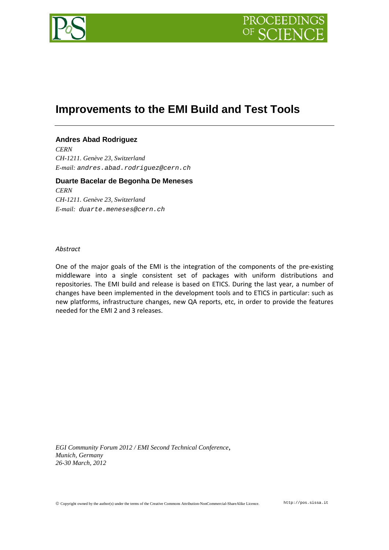

# **Improvements to the EMI Build and Test Tools**

# **Andres Abad Rodriguez**

*CERN CH-1211. Genève 23, Switzerland E-mail: andres.abad.rodriguez@cern.ch*

**Duarte Bacelar de Begonha De Meneses** *CERN CH-1211. Genève 23, Switzerland E-mail: [duarte.meneses@cern.ch](mailto:duarte.meneses@cern.ch)*

#### *Abstract*

One of the major goals of the EMI is the integration of the components of the pre-existing middleware into a single consistent set of packages with uniform distributions and repositories. The EMI build and release is based on ETICS. During the last year, a number of changes have been implemented in the development tools and to ETICS in particular: such as new platforms, infrastructure changes, new QA reports, etc, in order to provide the features needed for the EMI 2 and 3 releases.

*EGI Community Forum 2012 / EMI Second Technical Conference*, *Munich, Germany 26-30 March, 2012*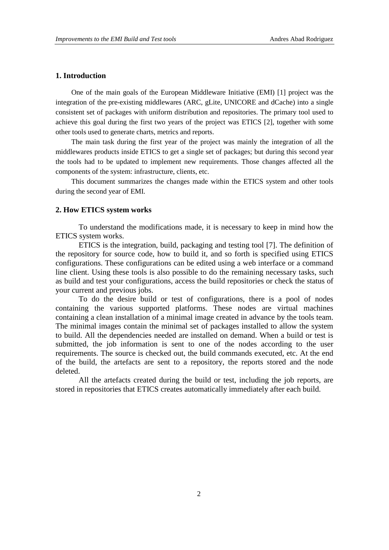# **1. Introduction**

One of the main goals of the European Middleware Initiative (EMI) [1] project was the integration of the pre-existing middlewares (ARC, gLite, UNICORE and dCache) into a single consistent set of packages with uniform distribution and repositories. The primary tool used to achieve this goal during the first two years of the project was ETICS [2], together with some other tools used to generate charts, metrics and reports.

The main task during the first year of the project was mainly the integration of all the middlewares products inside ETICS to get a single set of packages; but during this second year the tools had to be updated to implement new requirements. Those changes affected all the components of the system: infrastructure, clients, etc.

This document summarizes the changes made within the ETICS system and other tools during the second year of EMI.

## **2. How ETICS system works**

To understand the modifications made, it is necessary to keep in mind how the ETICS system works.

ETICS is the integration, build, packaging and testing tool [7]. The definition of the repository for source code, how to build it, and so forth is specified using ETICS configurations. These configurations can be edited using a web interface or a command line client. Using these tools is also possible to do the remaining necessary tasks, such as build and test your configurations, access the build repositories or check the status of your current and previous jobs.

To do the desire build or test of configurations, there is a pool of nodes containing the various supported platforms. These nodes are virtual machines containing a clean installation of a minimal image created in advance by the tools team. The minimal images contain the minimal set of packages installed to allow the system to build. All the dependencies needed are installed on demand. When a build or test is submitted, the job information is sent to one of the nodes according to the user requirements. The source is checked out, the build commands executed, etc. At the end of the build, the artefacts are sent to a repository, the reports stored and the node deleted.

All the artefacts created during the build or test, including the job reports, are stored in repositories that ETICS creates automatically immediately after each build.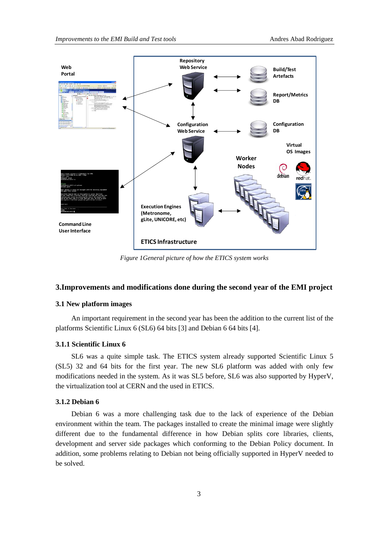

*Figure 1General picture of how the ETICS system works*

## **3.Improvements and modifications done during the second year of the EMI project**

### **3.1 New platform images**

An important requirement in the second year has been the addition to the current list of the platforms Scientific Linux 6 (SL6) 64 bits [3] and Debian 6 64 bits [4].

#### **3.1.1 Scientific Linux 6**

SL6 was a quite simple task. The ETICS system already supported Scientific Linux 5 (SL5) 32 and 64 bits for the first year. The new SL6 platform was added with only few modifications needed in the system. As it was SL5 before, SL6 was also supported by HyperV, the virtualization tool at CERN and the used in ETICS.

#### **3.1.2 Debian 6**

Debian 6 was a more challenging task due to the lack of experience of the Debian environment within the team. The packages installed to create the minimal image were slightly different due to the fundamental difference in how Debian splits core libraries, clients, development and server side packages which conforming to the Debian Policy document. In addition, some problems relating to Debian not being officially supported in HyperV needed to be solved.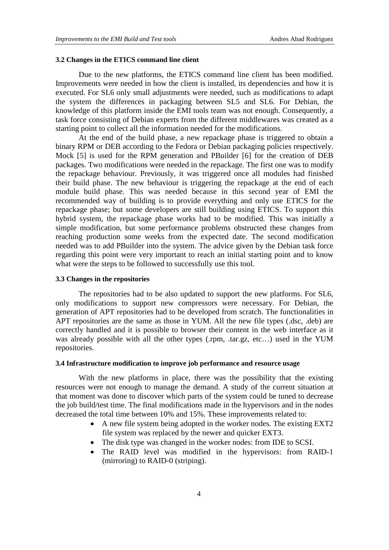#### **3.2 Changes in the ETICS command line client**

Due to the new platforms, the ETICS command line client has been modified. Improvements were needed in how the client is installed, its dependencies and how it is executed. For SL6 only small adjustments were needed, such as modifications to adapt the system the differences in packaging between SL5 and SL6. For Debian, the knowledge of this platform inside the EMI tools team was not enough. Consequently, a task force consisting of Debian experts from the different middlewares was created as a starting point to collect all the information needed for the modifications.

At the end of the build phase, a new repackage phase is triggered to obtain a binary RPM or DEB according to the Fedora or Debian packaging policies respectively. Mock [5] is used for the RPM generation and PBuilder [6] for the creation of DEB packages. Two modifications were needed in the repackage. The first one was to modify the repackage behaviour. Previously, it was triggered once all modules had finished their build phase. The new behaviour is triggering the repackage at the end of each module build phase. This was needed because in this second year of EMI the recommended way of building is to provide everything and only use ETICS for the repackage phase; but some developers are still building using ETICS. To support this hybrid system, the repackage phase works had to be modified. This was initially a simple modification, but some performance problems obstructed these changes from reaching production some weeks from the expected date. The second modification needed was to add PBuilder into the system. The advice given by the Debian task force regarding this point were very important to reach an initial starting point and to know what were the steps to be followed to successfully use this tool.

#### **3.3 Changes in the repositories**

The repositories had to be also updated to support the new platforms. For SL6, only modifications to support new compressors were necessary. For Debian, the generation of APT repositories had to be developed from scratch. The functionalities in APT repositories are the same as those in YUM. All the new file types (.dsc, .deb) are correctly handled and it is possible to browser their content in the web interface as it was already possible with all the other types (.rpm, .tar.gz, etc…) used in the YUM repositories.

## **3.4 Infrastructure modification to improve job performance and resource usage**

With the new platforms in place, there was the possibility that the existing resources were not enough to manage the demand. A study of the current situation at that moment was done to discover which parts of the system could be tuned to decrease the job build/test time. The final modifications made in the hypervisors and in the nodes decreased the total time between 10% and 15%. These improvements related to:

- A new file system being adopted in the worker nodes. The existing EXT2 file system was replaced by the newer and quicker EXT3.
- The disk type was changed in the worker nodes: from IDE to SCSI.
- The RAID level was modified in the hypervisors: from RAID-1 (mirroring) to RAID-0 (striping).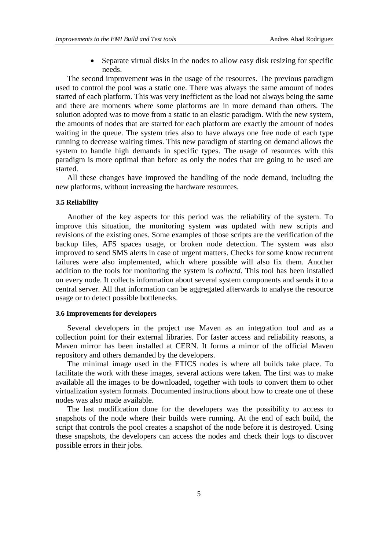• Separate virtual disks in the nodes to allow easy disk resizing for specific needs.

The second improvement was in the usage of the resources. The previous paradigm used to control the pool was a static one. There was always the same amount of nodes started of each platform. This was very inefficient as the load not always being the same and there are moments where some platforms are in more demand than others. The solution adopted was to move from a static to an elastic paradigm. With the new system, the amounts of nodes that are started for each platform are exactly the amount of nodes waiting in the queue. The system tries also to have always one free node of each type running to decrease waiting times. This new paradigm of starting on demand allows the system to handle high demands in specific types. The usage of resources with this paradigm is more optimal than before as only the nodes that are going to be used are started.

All these changes have improved the handling of the node demand, including the new platforms, without increasing the hardware resources.

#### **3.5 Reliability**

Another of the key aspects for this period was the reliability of the system. To improve this situation, the monitoring system was updated with new scripts and revisions of the existing ones. Some examples of those scripts are the verification of the backup files, AFS spaces usage, or broken node detection. The system was also improved to send SMS alerts in case of urgent matters. Checks for some know recurrent failures were also implemented, which where possible will also fix them. Another addition to the tools for monitoring the system is *collectd*. This tool has been installed on every node. It collects information about several system components and sends it to a central server. All that information can be aggregated afterwards to analyse the resource usage or to detect possible bottlenecks.

#### **3.6 Improvements for developers**

Several developers in the project use Maven as an integration tool and as a collection point for their external libraries. For faster access and reliability reasons, a Maven mirror has been installed at CERN. It forms a mirror of the official Maven repository and others demanded by the developers.

The minimal image used in the ETICS nodes is where all builds take place. To facilitate the work with these images, several actions were taken. The first was to make available all the images to be downloaded, together with tools to convert them to other virtualization system formats. Documented instructions about how to create one of these nodes was also made available.

The last modification done for the developers was the possibility to access to snapshots of the node where their builds were running. At the end of each build, the script that controls the pool creates a snapshot of the node before it is destroyed. Using these snapshots, the developers can access the nodes and check their logs to discover possible errors in their jobs.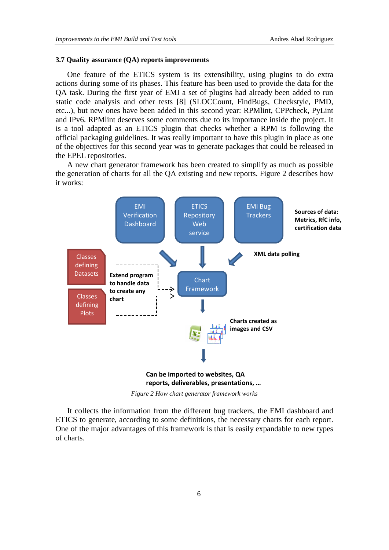#### **3.7 Quality assurance (QA) reports improvements**

One feature of the ETICS system is its extensibility, using plugins to do extra actions during some of its phases. This feature has been used to provide the data for the QA task. During the first year of EMI a set of plugins had already been added to run static code analysis and other tests [8] (SLOCCount, FindBugs, Checkstyle, PMD, etc...), but new ones have been added in this second year: RPMlint, CPPcheck, PyLint and IPv6. RPMlint deserves some comments due to its importance inside the project. It is a tool adapted as an ETICS plugin that checks whether a RPM is following the official packaging guidelines. It was really important to have this plugin in place as one of the objectives for this second year was to generate packages that could be released in the EPEL repositories.

A new chart generator framework has been created to simplify as much as possible the generation of charts for all the QA existing and new reports. Figure 2 describes how it works:



*Figure 2 How chart generator framework works*

It collects the information from the different bug trackers, the EMI dashboard and ETICS to generate, according to some definitions, the necessary charts for each report. One of the major advantages of this framework is that is easily expandable to new types of charts.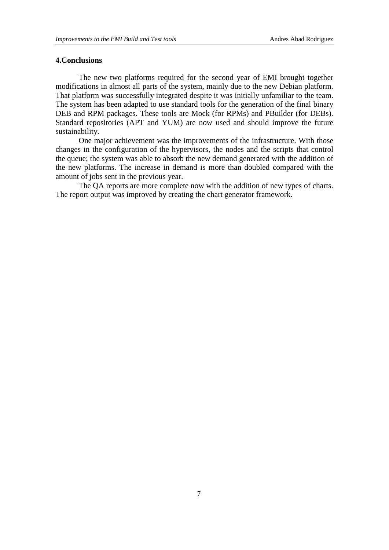## **4.Conclusions**

The new two platforms required for the second year of EMI brought together modifications in almost all parts of the system, mainly due to the new Debian platform. That platform was successfully integrated despite it was initially unfamiliar to the team. The system has been adapted to use standard tools for the generation of the final binary DEB and RPM packages. These tools are Mock (for RPMs) and PBuilder (for DEBs). Standard repositories (APT and YUM) are now used and should improve the future sustainability.

One major achievement was the improvements of the infrastructure. With those changes in the configuration of the hypervisors, the nodes and the scripts that control the queue; the system was able to absorb the new demand generated with the addition of the new platforms. The increase in demand is more than doubled compared with the amount of jobs sent in the previous year.

The QA reports are more complete now with the addition of new types of charts. The report output was improved by creating the chart generator framework.